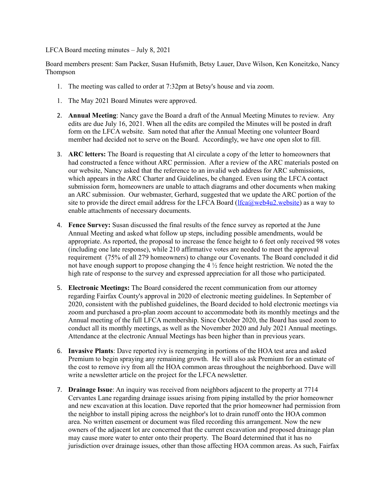LFCA Board meeting minutes – July 8, 2021

Board members present: Sam Packer, Susan Hufsmith, Betsy Lauer, Dave Wilson, Ken Koneitzko, Nancy Thompson

- 1. The meeting was called to order at 7:32pm at Betsy's house and via zoom.
- 1. The May 2021 Board Minutes were approved.
- 2. **Annual Meeting**: Nancy gave the Board a draft of the Annual Meeting Minutes to review. Any edits are due July 16, 2021. When all the edits are compiled the Minutes will be posted in draft form on the LFCA website. Sam noted that after the Annual Meeting one volunteer Board member had decided not to serve on the Board. Accordingly, we have one open slot to fill.
- 3. **ARC letters:** The Board is requesting that Al circulate a copy of the letter to homeowners that had constructed a fence without ARC permission. After a review of the ARC materials posted on our website, Nancy asked that the reference to an invalid web address for ARC submissions, which appears in the ARC Charter and Guidelines, be changed. Even using the LFCA contact submission form, homeowners are unable to attach diagrams and other documents when making an ARC submission. Our webmaster, Gerhard, suggested that we update the ARC portion of the site to provide the direct email address for the LFCA Board [\(lfca@web4u2.website\)](mailto:lfca@web4u2.website) as a way to enable attachments of necessary documents.
- 4. **Fence Survey:** Susan discussed the final results of the fence survey as reported at the June Annual Meeting and asked what follow up steps, including possible amendments, would be appropriate. As reported, the proposal to increase the fence height to 6 feet only received 98 votes (including one late response), while 210 affirmative votes are needed to meet the approval requirement (75% of all 279 homeowners) to change our Covenants. The Board concluded it did not have enough support to propose changing the 4  $\frac{1}{2}$  fence height restriction. We noted the the high rate of response to the survey and expressed appreciation for all those who participated.
- 5. **Electronic Meetings:** The Board considered the recent communication from our attorney regarding Fairfax County's approval in 2020 of electronic meeting guidelines. In September of 2020, consistent with the published guidelines, the Board decided to hold electronic meetings via zoom and purchased a pro-plan zoom account to accommodate both its monthly meetings and the Annual meeting of the full LFCA membership. Since October 2020, the Board has used zoom to conduct all its monthly meetings, as well as the November 2020 and July 2021 Annual meetings. Attendance at the electronic Annual Meetings has been higher than in previous years.
- 6. **Invasive Plants**: Dave reported ivy is reemerging in portions of the HOA test area and asked Premium to begin spraying any remaining growth. He will also ask Premium for an estimate of the cost to remove ivy from all the HOA common areas throughout the neighborhood. Dave will write a newsletter article on the project for the LFCA newsletter.
- 7. **Drainage Issue**: An inquiry was received from neighbors adjacent to the property at 7714 Cervantes Lane regarding drainage issues arising from piping installed by the prior homeowner and new excavation at this location. Dave reported that the prior homeowner had permission from the neighbor to install piping across the neighbor's lot to drain runoff onto the HOA common area. No written easement or document was filed recording this arrangement. Now the new owners of the adjacent lot are concerned that the current excavation and proposed drainage plan may cause more water to enter onto their property. The Board determined that it has no jurisdiction over drainage issues, other than those affecting HOA common areas. As such, Fairfax